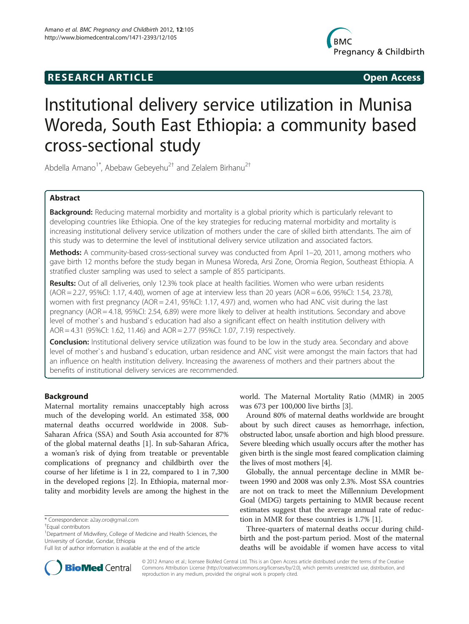# **RESEARCH ARTICLE Example 2014 CONSIDERING CONSIDERING CONSIDERING CONSIDERING CONSIDERING CONSIDERING CONSIDERING CONSIDERING CONSIDERING CONSIDERING CONSIDERING CONSIDERING CONSIDERING CONSIDERING CONSIDERING CONSIDE**



# Institutional delivery service utilization in Munisa Woreda, South East Ethiopia: a community based cross-sectional study

Abdella Amano<sup>1\*</sup>, Abebaw Gebeyehu<sup>2†</sup> and Zelalem Birhanu<sup>2†</sup>

# Abstract

Background: Reducing maternal morbidity and mortality is a global priority which is particularly relevant to developing countries like Ethiopia. One of the key strategies for reducing maternal morbidity and mortality is increasing institutional delivery service utilization of mothers under the care of skilled birth attendants. The aim of this study was to determine the level of institutional delivery service utilization and associated factors.

Methods: A community-based cross-sectional survey was conducted from April 1-20, 2011, among mothers who gave birth 12 months before the study began in Munesa Woreda, Arsi Zone, Oromia Region, Southeast Ethiopia. A stratified cluster sampling was used to select a sample of 855 participants.

Results: Out of all deliveries, only 12.3% took place at health facilities. Women who were urban residents (AOR = 2.27, 95%CI: 1.17, 4.40), women of age at interview less than 20 years (AOR = 6.06, 95%CI: 1.54, 23.78), women with first pregnancy (AOR = 2.41, 95%CI: 1.17, 4.97) and, women who had ANC visit during the last pregnancy (AOR = 4.18, 95%CI: 2.54, 6.89) were more likely to deliver at health institutions. Secondary and above level of mother`s and husband`s education had also a significant effect on health institution delivery with AOR = 4.31 (95%CI: 1.62, 11.46) and AOR = 2.77 (95%CI: 1.07, 7.19) respectively.

**Conclusion:** Institutional delivery service utilization was found to be low in the study area. Secondary and above level of mother`s and husband`s education, urban residence and ANC visit were amongst the main factors that had an influence on health institution delivery. Increasing the awareness of mothers and their partners about the benefits of institutional delivery services are recommended.

# Background

Maternal mortality remains unacceptably high across much of the developing world. An estimated 358, 000 maternal deaths occurred worldwide in 2008. Sub-Saharan Africa (SSA) and South Asia accounted for 87% of the global maternal deaths [\[1](#page-5-0)]. In sub-Saharan Africa, a woman's risk of dying from treatable or preventable complications of pregnancy and childbirth over the course of her lifetime is 1 in 22, compared to 1 in 7,300 in the developed regions [\[2](#page-5-0)]. In Ethiopia, maternal mortality and morbidity levels are among the highest in the



Around 80% of maternal deaths worldwide are brought about by such direct causes as hemorrhage, infection, obstructed labor, unsafe abortion and high blood pressure. Severe bleeding which usually occurs after the mother has given birth is the single most feared complication claiming the lives of most mothers [[4\]](#page-5-0).

Globally, the annual percentage decline in MMR between 1990 and 2008 was only 2.3%. Most SSA countries are not on track to meet the Millennium Development Goal (MDG) targets pertaining to MMR because recent estimates suggest that the average annual rate of reduction in MMR for these countries is 1.7% [[1\]](#page-5-0).

Three-quarters of maternal deaths occur during childbirth and the post-partum period. Most of the maternal deaths will be avoidable if women have access to vital



© 2012 Amano et al.; licensee BioMed Central Ltd. This is an Open Access article distributed under the terms of the Creative Commons Attribution License [\(http://creativecommons.org/licenses/by/2.0\)](http://creativecommons.org/licenses/by/2.0), which permits unrestricted use, distribution, and reproduction in any medium, provided the original work is properly cited.

<sup>\*</sup> Correspondence: [a2ay.oro@gmail.com](mailto:a2ay.oro@gmail.com) †

Equal contributors

<sup>&</sup>lt;sup>1</sup>Department of Midwifery, College of Medicine and Health Sciences, the University of Gondar, Gondar, Ethiopia

Full list of author information is available at the end of the article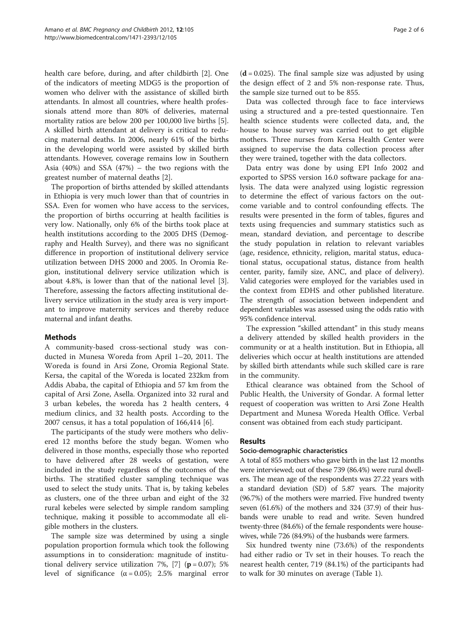health care before, during, and after childbirth [\[2\]](#page-5-0). One of the indicators of meeting MDG5 is the proportion of women who deliver with the assistance of skilled birth attendants. In almost all countries, where health professionals attend more than 80% of deliveries, maternal mortality ratios are below 200 per 100,000 live births [\[5](#page-5-0)]. A skilled birth attendant at delivery is critical to reducing maternal deaths. In 2006, nearly 61% of the births in the developing world were assisted by skilled birth attendants. However, coverage remains low in Southern Asia (40%) and SSA (47%) – the two regions with the greatest number of maternal deaths [[2\]](#page-5-0).

The proportion of births attended by skilled attendants in Ethiopia is very much lower than that of countries in SSA. Even for women who have access to the services, the proportion of births occurring at health facilities is very low. Nationally, only 6% of the births took place at health institutions according to the 2005 DHS (Demography and Health Survey), and there was no significant difference in proportion of institutional delivery service utilization between DHS 2000 and 2005. In Oromia Region, institutional delivery service utilization which is about 4.8%, is lower than that of the national level [\[3](#page-5-0)]. Therefore, assessing the factors affecting institutional delivery service utilization in the study area is very important to improve maternity services and thereby reduce maternal and infant deaths.

# Methods

A community-based cross-sectional study was conducted in Munesa Woreda from April 1–20, 2011. The Woreda is found in Arsi Zone, Oromia Regional State. Kersa, the capital of the Woreda is located 232km from Addis Ababa, the capital of Ethiopia and 57 km from the capital of Arsi Zone, Asella. Organized into 32 rural and 3 urban kebeles, the woreda has 2 health centers, 4 medium clinics, and 32 health posts. According to the 2007 census, it has a total population of 166,414 [\[6](#page-5-0)].

The participants of the study were mothers who delivered 12 months before the study began. Women who delivered in those months, especially those who reported to have delivered after 28 weeks of gestation, were included in the study regardless of the outcomes of the births. The stratified cluster sampling technique was used to select the study units. That is, by taking kebeles as clusters, one of the three urban and eight of the 32 rural kebeles were selected by simple random sampling technique, making it possible to accommodate all eligible mothers in the clusters.

The sample size was determined by using a single population proportion formula which took the following assumptions in to consideration: magnitude of institu-tional delivery service utilization 7%, [\[7](#page-5-0)] ( $\mathbf{p} = 0.07$ ); 5% level of significance  $(α = 0.05)$ ; 2.5% marginal error  $(d = 0.025)$ . The final sample size was adjusted by using the design effect of 2 and 5% non-response rate. Thus, the sample size turned out to be 855.

Data was collected through face to face interviews using a structured and a pre-tested questionnaire. Ten health science students were collected data, and, the house to house survey was carried out to get eligible mothers. Three nurses from Kersa Health Center were assigned to supervise the data collection process after they were trained, together with the data collectors.

Data entry was done by using EPI Info 2002 and exported to SPSS version 16.0 software package for analysis. The data were analyzed using logistic regression to determine the effect of various factors on the outcome variable and to control confounding effects. The results were presented in the form of tables, figures and texts using frequencies and summary statistics such as mean, standard deviation, and percentage to describe the study population in relation to relevant variables (age, residence, ethnicity, religion, marital status, educational status, occupational status, distance from health center, parity, family size, ANC, and place of delivery). Valid categories were employed for the variables used in the context from EDHS and other published literature. The strength of association between independent and dependent variables was assessed using the odds ratio with 95% confidence interval.

The expression "skilled attendant" in this study means a delivery attended by skilled health providers in the community or at a health institution. But in Ethiopia, all deliveries which occur at health institutions are attended by skilled birth attendants while such skilled care is rare in the community.

Ethical clearance was obtained from the School of Public Health, the University of Gondar. A formal letter request of cooperation was written to Arsi Zone Health Department and Munesa Woreda Health Office. Verbal consent was obtained from each study participant.

# Results

# Socio-demographic characteristics

A total of 855 mothers who gave birth in the last 12 months were interviewed; out of these 739 (86.4%) were rural dwellers. The mean age of the respondents was 27.22 years with a standard deviation (SD) of 5.87 years. The majority (96.7%) of the mothers were married. Five hundred twenty seven (61.6%) of the mothers and 324 (37.9) of their husbands were unable to read and write. Seven hundred twenty-three (84.6%) of the female respondents were housewives, while 726 (84.9%) of the husbands were farmers.

Six hundred twenty nine (73.6%) of the respondents had either radio or Tv set in their houses. To reach the nearest health center, 719 (84.1%) of the participants had to walk for 30 minutes on average (Table [1\)](#page-2-0).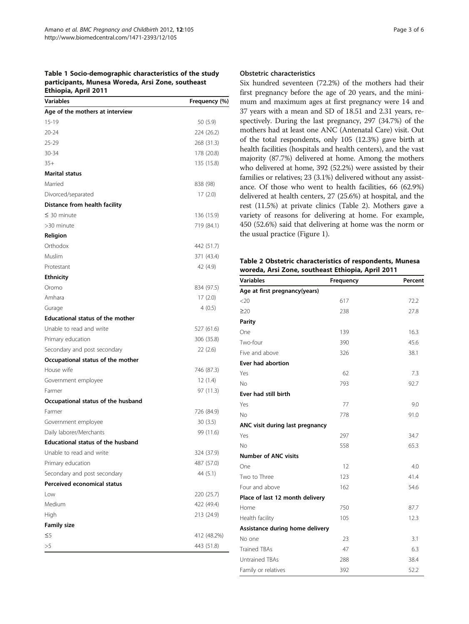<span id="page-2-0"></span>Table 1 Socio-demographic characteristics of the study participants, Munesa Woreda, Arsi Zone, southeast Ethiopia, April 2011

| <b>Variables</b>                         | Frequency (%) |
|------------------------------------------|---------------|
| Age of the mothers at interview          |               |
| 15-19                                    | 50 (5.9)      |
| $20 - 24$                                | 224 (26.2)    |
| 25-29                                    | 268 (31.3)    |
| 30-34                                    | 178 (20.8)    |
| $35+$                                    | 135 (15.8)    |
| <b>Marital status</b>                    |               |
| Married                                  | 838 (98)      |
| Divorced/separated                       | 17(2.0)       |
| Distance from health facility            |               |
| $\leq$ 30 minute                         | 136 (15.9)    |
| >30 minute                               | 719 (84.1)    |
| Religion                                 |               |
| Orthodox                                 | 442 (51.7)    |
| Muslim                                   | 371 (43.4)    |
| Protestant                               | 42 (4.9)      |
| <b>Ethnicity</b>                         |               |
| Oromo                                    | 834 (97.5)    |
| Amhara                                   | 17(2.0)       |
| Gurage                                   | 4(0.5)        |
| <b>Educational status of the mother</b>  |               |
| Unable to read and write                 | 527 (61.6)    |
| Primary education                        | 306 (35.8)    |
| Secondary and post secondary             | 22(2.6)       |
| Occupational status of the mother        |               |
| House wife                               | 746 (87.3)    |
| Government employee                      | 12(1.4)       |
| Farmer                                   | 97 (11.3)     |
| Occupational status of the husband       |               |
| Farmer                                   | 726 (84.9)    |
| Government employee                      | 30(3.5)       |
| Daily laborer/Merchants                  | 99 (11.6)     |
| <b>Educational status of the husband</b> |               |
| Unable to read and write                 | 324 (37.9)    |
| Primary education                        | 487 (57.0)    |
| Secondary and post secondary             | 44 (5.1)      |
| Perceived economical status              |               |
| Low                                      | 220 (25.7)    |
| Medium                                   | 422 (49.4)    |
| High                                     | 213 (24.9)    |
| <b>Family size</b>                       |               |
| $\leq$ 5                                 | 412 (48.2%)   |
| >5                                       | 443 (51.8)    |

#### Obstetric characteristics

Six hundred seventeen (72.2%) of the mothers had their first pregnancy before the age of 20 years, and the minimum and maximum ages at first pregnancy were 14 and 37 years with a mean and SD of 18.51 and 2.31 years, respectively. During the last pregnancy, 297 (34.7%) of the mothers had at least one ANC (Antenatal Care) visit. Out of the total respondents, only 105 (12.3%) gave birth at health facilities (hospitals and health centers), and the vast majority (87.7%) delivered at home. Among the mothers who delivered at home, 392 (52.2%) were assisted by their families or relatives; 23 (3.1%) delivered without any assistance. Of those who went to health facilities, 66 (62.9%) delivered at health centers, 27 (25.6%) at hospital, and the rest (11.5%) at private clinics (Table 2). Mothers gave a variety of reasons for delivering at home. For example, 450 (52.6%) said that delivering at home was the norm or the usual practice (Figure [1](#page-3-0)).

Table 2 Obstetric characteristics of respondents, Munesa woreda, Arsi Zone, southeast Ethiopia, April 2011

| <b>Variables</b>                | Frequency | Percent |
|---------------------------------|-----------|---------|
| Age at first pregnancy(years)   |           |         |
| <20                             | 617       | 72.2    |
| $\geq 20$                       | 238       | 27.8    |
| Parity                          |           |         |
| One                             | 139       | 16.3    |
| Two-four                        | 390       | 45.6    |
| Five and above                  | 326       | 38.1    |
| <b>Ever had abortion</b>        |           |         |
| Yes                             | 62        | 7.3     |
| No                              | 793       | 92.7    |
| Ever had still birth            |           |         |
| Yes                             | 77        | 9.0     |
| No                              | 778       | 91.0    |
| ANC visit during last pregnancy |           |         |
| Yes                             | 297       | 34.7    |
| <b>No</b>                       | 558       | 65.3    |
| <b>Number of ANC visits</b>     |           |         |
| One                             | 12        | 4.0     |
| Two to Three                    | 123       | 41.4    |
| Four and above                  | 162       | 54.6    |
| Place of last 12 month delivery |           |         |
| Home                            | 750       | 87.7    |
| Health facility                 | 105       | 12.3    |
| Assistance during home delivery |           |         |
| No one                          | 23        | 3.1     |
| <b>Trained TBAs</b>             | 47        | 6.3     |
| <b>Untrained TBAs</b>           | 288       | 38.4    |
| Family or relatives             | 392       | 52.2    |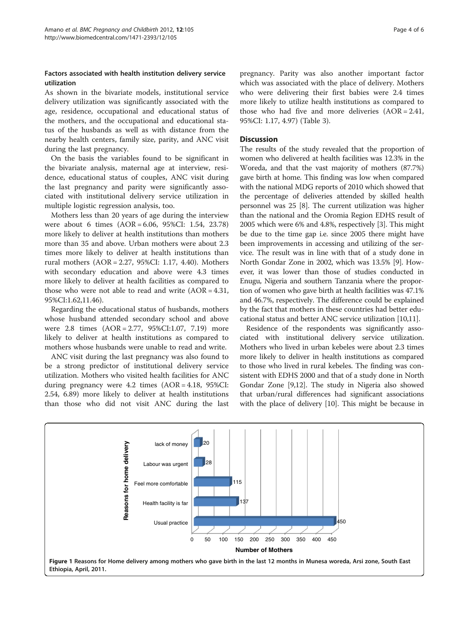## <span id="page-3-0"></span>Factors associated with health institution delivery service utilization

As shown in the bivariate models, institutional service delivery utilization was significantly associated with the age, residence, occupational and educational status of the mothers, and the occupational and educational status of the husbands as well as with distance from the nearby health centers, family size, parity, and ANC visit during the last pregnancy.

On the basis the variables found to be significant in the bivariate analysis, maternal age at interview, residence, educational status of couples, ANC visit during the last pregnancy and parity were significantly associated with institutional delivery service utilization in multiple logistic regression analysis, too.

Mothers less than 20 years of age during the interview were about 6 times (AOR = 6.06, 95%CI: 1.54, 23.78) more likely to deliver at health institutions than mothers more than 35 and above. Urban mothers were about 2.3 times more likely to deliver at health institutions than rural mothers (AOR = 2.27, 95%CI: 1.17, 4.40). Mothers with secondary education and above were 4.3 times more likely to deliver at health facilities as compared to those who were not able to read and write  $(AOR = 4.31,$ 95%CI:1.62,11.46).

Regarding the educational status of husbands, mothers whose husband attended secondary school and above were 2.8 times (AOR = 2.77, 95%CI:1.07, 7.19) more likely to deliver at health institutions as compared to mothers whose husbands were unable to read and write.

ANC visit during the last pregnancy was also found to be a strong predictor of institutional delivery service utilization. Mothers who visited health facilities for ANC during pregnancy were 4.2 times (AOR = 4.18, 95%CI: 2.54, 6.89) more likely to deliver at health institutions than those who did not visit ANC during the last

pregnancy. Parity was also another important factor which was associated with the place of delivery. Mothers who were delivering their first babies were 2.4 times more likely to utilize health institutions as compared to those who had five and more deliveries  $(AOR = 2.41,$ 95%CI: 1.17, 4.97) (Table [3\)](#page-4-0).

## **Discussion**

The results of the study revealed that the proportion of women who delivered at health facilities was 12.3% in the Woreda, and that the vast majority of mothers (87.7%) gave birth at home. This finding was low when compared with the national MDG reports of 2010 which showed that the percentage of deliveries attended by skilled health personnel was 25 [\[8](#page-5-0)]. The current utilization was higher than the national and the Oromia Region EDHS result of 2005 which were 6% and 4.8%, respectively [\[3\]](#page-5-0). This might be due to the time gap i.e. since 2005 there might have been improvements in accessing and utilizing of the service. The result was in line with that of a study done in North Gondar Zone in 2002, which was 13.5% [\[9](#page-5-0)]. However, it was lower than those of studies conducted in Enugu, Nigeria and southern Tanzania where the proportion of women who gave birth at health facilities was 47.1% and 46.7%, respectively. The difference could be explained by the fact that mothers in these countries had better educational status and better ANC service utilization [\[10,11\]](#page-5-0).

Residence of the respondents was significantly associated with institutional delivery service utilization. Mothers who lived in urban kebeles were about 2.3 times more likely to deliver in health institutions as compared to those who lived in rural kebeles. The finding was consistent with EDHS 2000 and that of a study done in North Gondar Zone [[9,12](#page-5-0)]. The study in Nigeria also showed that urban/rural differences had significant associations with the place of delivery [[10](#page-5-0)]. This might be because in

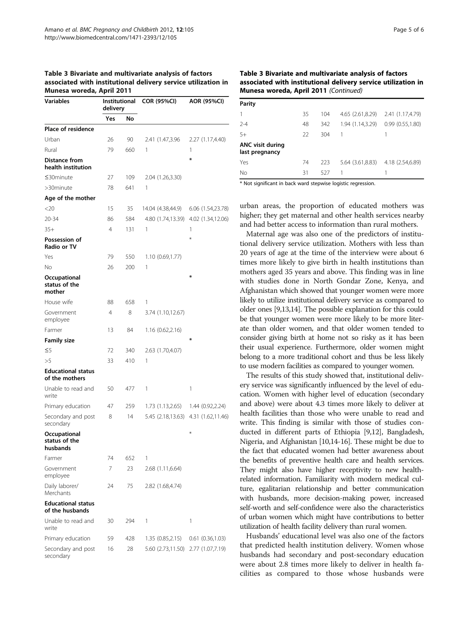| <b>Variables</b>                             | Institutional<br>delivery |     | <b>COR (95%CI)</b> | AOR (95%CI)       |
|----------------------------------------------|---------------------------|-----|--------------------|-------------------|
|                                              | Yes                       | No  |                    |                   |
| Place of residence                           |                           |     |                    |                   |
| Urban                                        | 26                        | 90  | 2.41 (1.47,3.96)   | 2.27 (1.17,4.40)  |
| Rural                                        | 79                        | 660 | 1                  | 1                 |
| Distance from<br>health institution          |                           |     |                    | ∗                 |
| $\leq$ 30 minute                             | 27                        | 109 | 2.04 (1.26,3.30)   |                   |
| >30minute                                    | 78                        | 641 | 1                  |                   |
| Age of the mother                            |                           |     |                    |                   |
| $<$ 20                                       | 15                        | 35  | 14.04 (4.38,44.9)  | 6.06 (1.54,23.78) |
| $20 - 34$                                    | 86                        | 584 | 4.80 (1.74,13.39)  | 4.02 (1.34,12.06) |
| $35+$                                        | 4                         | 131 | 1                  | 1                 |
| Possession of<br>Radio or TV                 |                           |     |                    | $\ast$            |
| Yes                                          | 79                        | 550 | 1.10(0.69,1.77)    |                   |
| No                                           | 26                        | 200 | 1                  |                   |
| Occupational<br>status of the<br>mother      |                           |     |                    | ∗                 |
| House wife                                   | 88                        | 658 | 1                  |                   |
| Government<br>employee                       | 4                         | 8   | 3.74 (1.10,12.67)  |                   |
| Farmer                                       | 13                        | 84  | 1.16 (0.62,2.16)   |                   |
| <b>Family size</b>                           |                           |     |                    | ∗                 |
| $\leq$ 5                                     | 72                        | 340 | 2.63 (1.70,4.07)   |                   |
| >5                                           | 33                        | 410 | 1                  |                   |
| <b>Educational status</b><br>of the mothers  |                           |     |                    |                   |
| Unable to read and<br>write                  | 50                        | 477 | 1                  | 1                 |
| Primary education                            | 47                        | 259 | 1.73 (1.13,2.65)   | 1.44 (0.92,2.24)  |
| Secondary and post<br>secondary              | 8                         | 14  | 5.45 (2.18,13.63)  | 4.31 (1.62,11.46) |
| Occupational<br>status of the<br>husbands    |                           |     |                    | ⋇                 |
| Farmer                                       | 74                        | 652 | 1                  |                   |
| Government<br>employee                       | 7                         | 23  | 2.68 (1.11,6.64)   |                   |
| Daily laborer/<br>Merchants                  | 24                        | 75  | 2.82 (1.68,4.74)   |                   |
| <b>Educational status</b><br>of the husbands |                           |     |                    |                   |
| Unable to read and<br>write                  | 30                        | 294 | 1                  | 1                 |
| Primary education                            | 59                        | 428 | 1.35 (0.85,2.15)   | 0.61(0.36, 1.03)  |
| Secondary and post<br>secondary              | 16                        | 28  | 5.60 (2.73,11.50)  | 2.77 (1.07,7.19)  |

#### <span id="page-4-0"></span>Table 3 Bivariate and multivariate analysis of factors associated with institutional delivery service utilization in Munesa woreda, April 2011

### Table 3 Bivariate and multivariate analysis of factors associated with institutional delivery service utilization in Munesa woreda, April 2011 (Continued)

| Parity                                    |    |     |                                   |                  |
|-------------------------------------------|----|-----|-----------------------------------|------------------|
| 1                                         | 35 | 104 | 4.65 (2.61,8.29) 2.41 (1.17,4.79) |                  |
| $2 - 4$                                   | 48 | 342 | 1.94 (1.14,3.29)                  | 0.99(0.55, 1.80) |
| $5+$                                      | 22 | 304 | 1                                 |                  |
| <b>ANC visit during</b><br>last pregnancy |    |     |                                   |                  |
| Yes                                       | 74 | 223 | 5.64 (3.61,8.83)                  | 4.18 (2.54,6.89) |
| No                                        | 31 | 527 |                                   |                  |

\* Not significant in back ward stepwise logistic regression.

urban areas, the proportion of educated mothers was higher; they get maternal and other health services nearby and had better access to information than rural mothers.

Maternal age was also one of the predictors of institutional delivery service utilization. Mothers with less than 20 years of age at the time of the interview were about 6 times more likely to give birth in health institutions than mothers aged 35 years and above. This finding was in line with studies done in North Gondar Zone, Kenya, and Afghanistan which showed that younger women were more likely to utilize institutional delivery service as compared to older ones [\[9,13,14\]](#page-5-0). The possible explanation for this could be that younger women were more likely to be more literate than older women, and that older women tended to consider giving birth at home not so risky as it has been their usual experience. Furthermore, older women might belong to a more traditional cohort and thus be less likely to use modern facilities as compared to younger women.

The results of this study showed that, institutional delivery service was significantly influenced by the level of education. Women with higher level of education (secondary and above) were about 4.3 times more likely to deliver at health facilities than those who were unable to read and write. This finding is similar with those of studies conducted in different parts of Ethiopia [\[9,12\]](#page-5-0), Bangladesh, Nigeria, and Afghanistan [\[10,14](#page-5-0)-[16](#page-5-0)]. These might be due to the fact that educated women had better awareness about the benefits of preventive health care and health services. They might also have higher receptivity to new healthrelated information. Familiarity with modern medical culture, egalitarian relationship and better communication with husbands, more decision-making power, increased self-worth and self-confidence were also the characteristics of urban women which might have contributions to better utilization of health facility delivery than rural women.

Husbands' educational level was also one of the factors that predicted health institution delivery. Women whose husbands had secondary and post-secondary education were about 2.8 times more likely to deliver in health facilities as compared to those whose husbands were